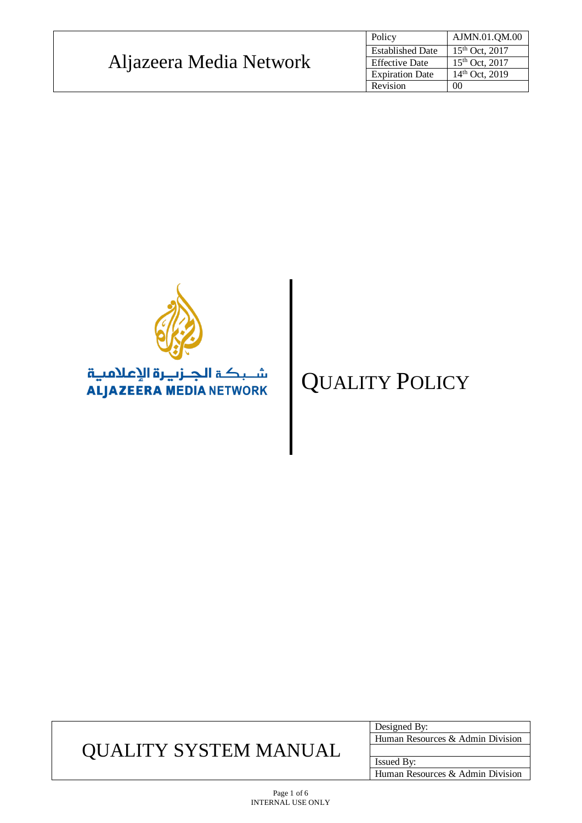|                         | Policy                  | AJMN.01.QM.00       |
|-------------------------|-------------------------|---------------------|
|                         | <b>Established Date</b> | $15^{th}$ Oct, 2017 |
| Aljazeera Media Network | <b>Effective Date</b>   | $15^{th}$ Oct. 2017 |
|                         | <b>Expiration Date</b>  | $14th$ Oct. 2019    |
|                         | Revision                | 00                  |



# QUALITY POLICY

## QUALITY SYSTEM MANUAL

Designed By: Human Resources & Admin Division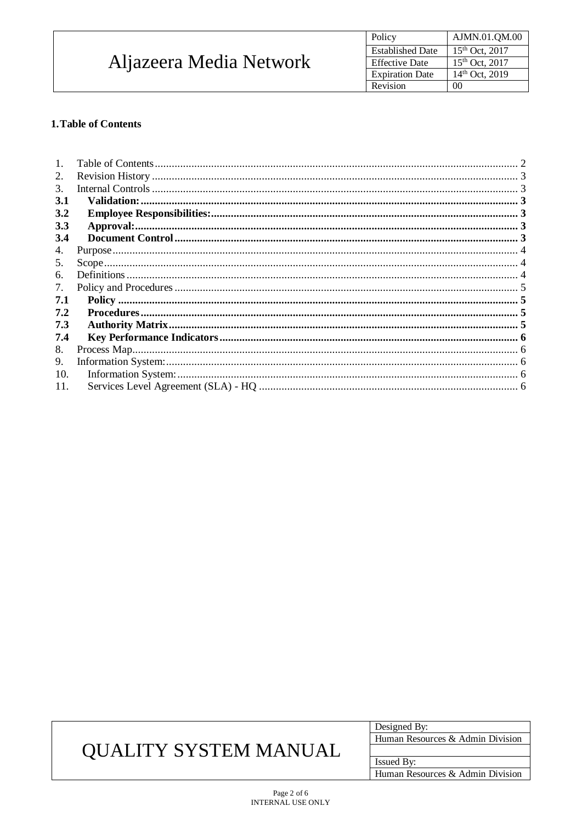| Aljazeera Media Network | AJMN.01.QM.00<br>Policy                        |
|-------------------------|------------------------------------------------|
|                         | $15^{th}$ Oct, 2017<br><b>Established Date</b> |
|                         | $15^{th}$ Oct, 2017<br><b>Effective Date</b>   |
|                         | $14th$ Oct, 2019<br><b>Expiration Date</b>     |
|                         | 00<br>Revision                                 |

### <span id="page-1-0"></span>1. Table of Contents

| 2.         |  |
|------------|--|
| 3.         |  |
| <b>3.1</b> |  |
| 3.2        |  |
| 3.3        |  |
| 3.4        |  |
| 4.         |  |
| 5.         |  |
| 6.         |  |
| 7.         |  |
| 7.1        |  |
| 7.2        |  |
| 7.3        |  |
| 7.4        |  |
| 8.         |  |
| 9.         |  |
| 10.        |  |
| 11.        |  |

# **QUALITY SYSTEM MANUAL**

| Designed By:                     |  |
|----------------------------------|--|
| Human Resources & Admin Division |  |
|                                  |  |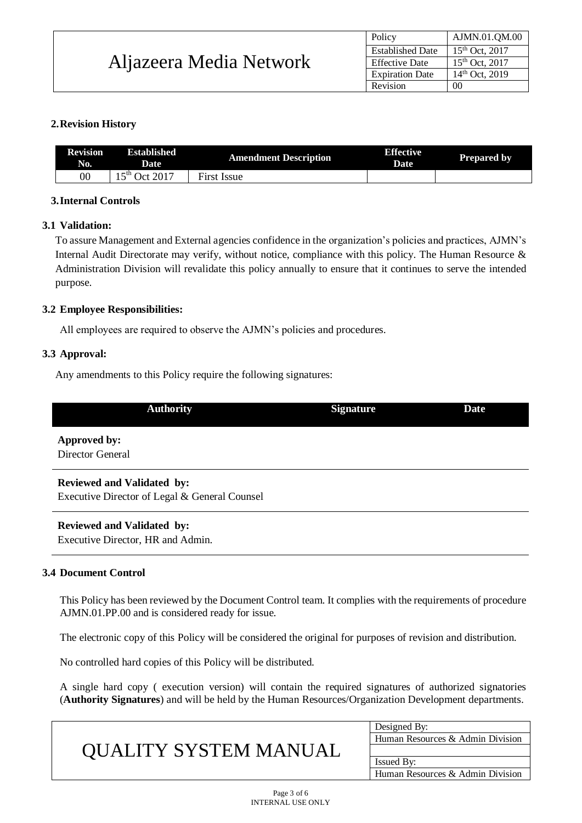|                         | Policy                  | AJMN.01.QM.00       |
|-------------------------|-------------------------|---------------------|
|                         | <b>Established Date</b> | $15^{th}$ Oct, 2017 |
| Aljazeera Media Network | <b>Effective Date</b>   | $15th$ Oct. 2017    |
|                         | <b>Expiration Date</b>  | $14th$ Oct, 2019    |
|                         | Revision                | 00                  |

### <span id="page-2-0"></span>**2.Revision History**

| Revision<br>No. | <b>Established</b><br><b>Date</b> | <b>Amendment Description</b> | <b>Effective</b><br>Date | <b>Prepared by</b> |
|-----------------|-----------------------------------|------------------------------|--------------------------|--------------------|
| $00\,$          | $.5th$ Oct<br>2017                | <b>First Issue</b>           |                          |                    |

### <span id="page-2-2"></span><span id="page-2-1"></span>**3.Internal Controls**

### **3.1 Validation:**

To assure Management and External agencies confidence in the organization's policies and practices, AJMN's Internal Audit Directorate may verify, without notice, compliance with this policy. The Human Resource & Administration Division will revalidate this policy annually to ensure that it continues to serve the intended purpose.

### <span id="page-2-3"></span>**3.2 Employee Responsibilities:**

<span id="page-2-4"></span>All employees are required to observe the AJMN's policies and procedures.

### **3.3 Approval:**

Any amendments to this Policy require the following signatures:

| <b>Authority</b>                              | <b>Signature</b> | <b>Date</b> |
|-----------------------------------------------|------------------|-------------|
| Approved by:                                  |                  |             |
| Director General                              |                  |             |
| <b>Reviewed and Validated by:</b>             |                  |             |
| Executive Director of Legal & General Counsel |                  |             |

Executive Director, HR and Admin.

### <span id="page-2-5"></span>**3.4 Document Control**

This Policy has been reviewed by the Document Control team. It complies with the requirements of procedure AJMN.01.PP.00 and is considered ready for issue.

The electronic copy of this Policy will be considered the original for purposes of revision and distribution.

No controlled hard copies of this Policy will be distributed.

A single hard copy ( execution version) will contain the required signatures of authorized signatories (**Authority Signatures**) and will be held by the Human Resources/Organization Development departments.

| Human Resources & Admin Division |
|----------------------------------|
|                                  |
|                                  |
|                                  |
| Human Resources & Admin Division |
|                                  |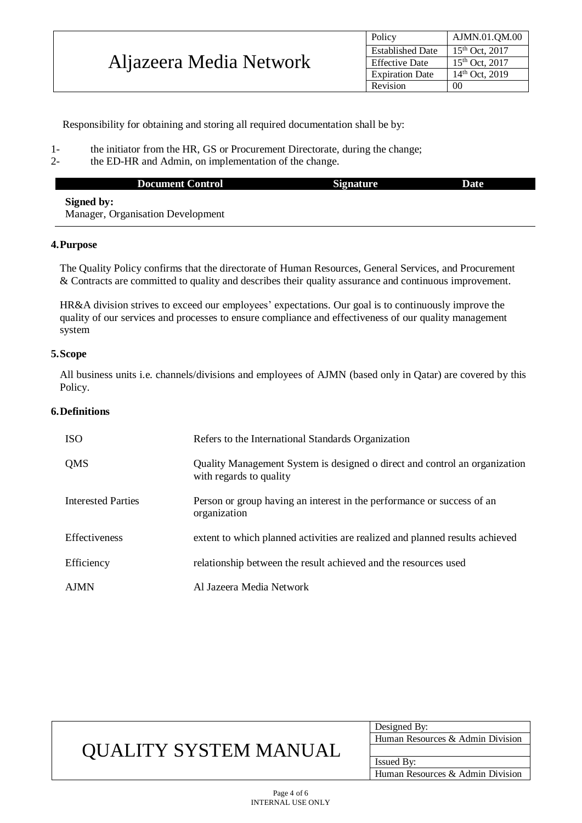|                         | Policy                  | AJMN.01.QM.00       |
|-------------------------|-------------------------|---------------------|
|                         | <b>Established Date</b> | $15^{th}$ Oct, 2017 |
| Aljazeera Media Network | <b>Effective Date</b>   | $15^{th}$ Oct, 2017 |
|                         | <b>Expiration Date</b>  | $14th$ Oct, 2019    |
|                         | Revision                | 00                  |

Responsibility for obtaining and storing all required documentation shall be by:

- 1- the initiator from the HR, GS or Procurement Directorate, during the change;
- 2- the ED-HR and Admin, on implementation of the change.

| <b>Document Control</b>                  | <b>Signature</b> | Date |
|------------------------------------------|------------------|------|
| Signed by:                               |                  |      |
| <b>Manager, Organisation Development</b> |                  |      |

#### <span id="page-3-0"></span>**4.Purpose**

The Quality Policy confirms that the directorate of Human Resources, General Services, and Procurement & Contracts are committed to quality and describes their quality assurance and continuous improvement.

HR&A division strives to exceed our employees' expectations. Our goal is to continuously improve the quality of our services and processes to ensure compliance and effectiveness of our quality management system

#### <span id="page-3-1"></span>**5.Scope**

All business units i.e. channels/divisions and employees of AJMN (based only in Qatar) are covered by this Policy.

#### <span id="page-3-2"></span>**6.Definitions**

| <b>ISO</b>                | Refers to the International Standards Organization                                                    |
|---------------------------|-------------------------------------------------------------------------------------------------------|
| QMS                       | Quality Management System is designed o direct and control an organization<br>with regards to quality |
| <b>Interested Parties</b> | Person or group having an interest in the performance or success of an<br>organization                |
| Effectiveness             | extent to which planned activities are realized and planned results achieved                          |
| Efficiency                | relationship between the result achieved and the resources used                                       |
| <b>AJMN</b>               | Al Jazeera Media Network                                                                              |

### QUALITY SYSTEM MANUAL

| Designed By:                     |
|----------------------------------|
| Human Resources & Admin Division |
|                                  |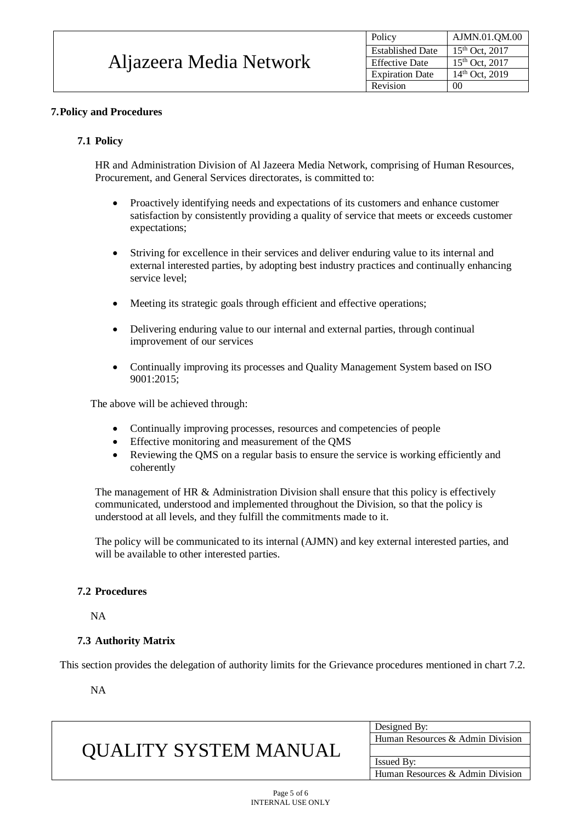| Aljazeera Media Network | Policy                  | AJMN.01.QM.00       |
|-------------------------|-------------------------|---------------------|
|                         | <b>Established Date</b> | $15^{th}$ Oct, 2017 |
|                         | <b>Effective Date</b>   | $15^{th}$ Oct, 2017 |
|                         | <b>Expiration Date</b>  | $14th$ Oct, 2019    |
|                         | Revision                | 00                  |

### <span id="page-4-0"></span>**7.Policy and Procedures**

### <span id="page-4-1"></span>**7.1 Policy**

HR and Administration Division of Al Jazeera Media Network, comprising of Human Resources, Procurement, and General Services directorates, is committed to:

- Proactively identifying needs and expectations of its customers and enhance customer satisfaction by consistently providing a quality of service that meets or exceeds customer expectations;
- Striving for excellence in their services and deliver enduring value to its internal and external interested parties, by adopting best industry practices and continually enhancing service level;
- Meeting its strategic goals through efficient and effective operations;
- Delivering enduring value to our internal and external parties, through continual improvement of our services
- Continually improving its processes and Quality Management System based on ISO 9001:2015;

The above will be achieved through:

- Continually improving processes, resources and competencies of people
- Effective monitoring and measurement of the QMS
- Reviewing the QMS on a regular basis to ensure the service is working efficiently and coherently

The management of HR  $&$  Administration Division shall ensure that this policy is effectively communicated, understood and implemented throughout the Division, so that the policy is understood at all levels, and they fulfill the commitments made to it.

The policy will be communicated to its internal (AJMN) and key external interested parties, and will be available to other interested parties.

### <span id="page-4-2"></span>**7.2 Procedures**

NA

### <span id="page-4-3"></span>**7.3 Authority Matrix**

This section provides the delegation of authority limits for the Grievance procedures mentioned in chart 7.2.

NA

| <b>OUALITY SYSTEM MANUAL</b> | Designed By:                     |  |
|------------------------------|----------------------------------|--|
|                              | Human Resources & Admin Division |  |
|                              |                                  |  |
|                              | <b>Issued By:</b>                |  |
|                              | Human Resources & Admin Division |  |
|                              |                                  |  |